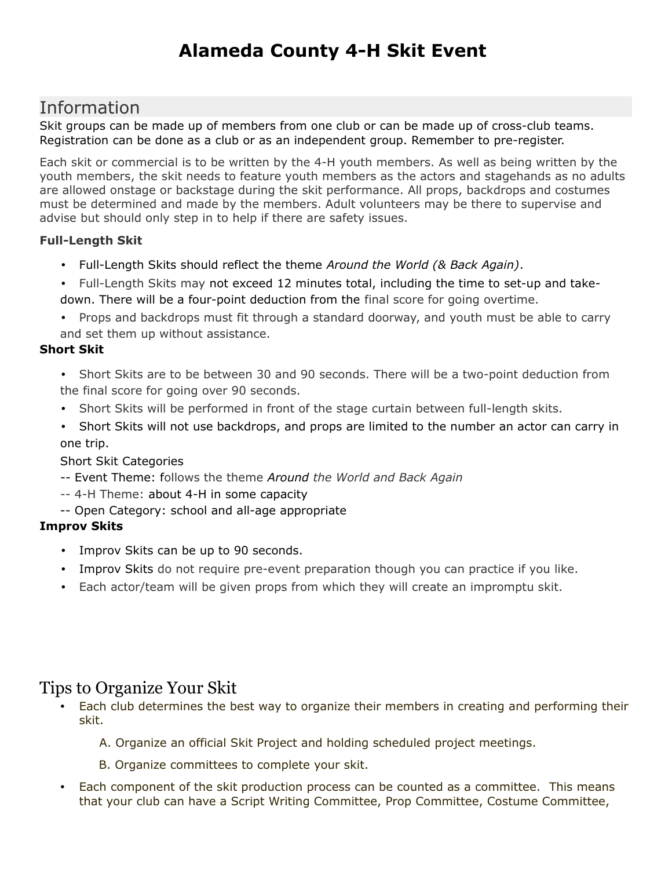# **Alameda County 4-H Skit Event**

# Information

Skit groups can be made up of members from one club or can be made up of cross-club teams. Registration can be done as a club or as an independent group. Remember to pre-register.

Each skit or commercial is to be written by the 4-H youth members. As well as being written by the youth members, the skit needs to feature youth members as the actors and stagehands as no adults are allowed onstage or backstage during the skit performance. All props, backdrops and costumes must be determined and made by the members. Adult volunteers may be there to supervise and advise but should only step in to help if there are safety issues.

#### **Full-Length Skit**

- Full-Length Skits should reflect the theme *Around the World (& Back Again)*.
- Full-Length Skits may not exceed 12 minutes total, including the time to set-up and takedown. There will be a four-point deduction from the final score for going overtime.
- Props and backdrops must fit through a standard doorway, and youth must be able to carry and set them up without assistance.

### **Short Skit**

- Short Skits are to be between 30 and 90 seconds. There will be a two-point deduction from the final score for going over 90 seconds.
- Short Skits will be performed in front of the stage curtain between full-length skits.
- Short Skits will not use backdrops, and props are limited to the number an actor can carry in one trip.

#### Short Skit Categories

- *--* Event Theme: follows the theme *Around the World and Back Again*
- -- 4-H Theme: about 4-H in some capacity
- -- Open Category: school and all-age appropriate

### **Improv Skits**

- Improv Skits can be up to 90 seconds.
- Improv Skits do not require pre-event preparation though you can practice if you like.
- Each actor/team will be given props from which they will create an impromptu skit.

## Tips to Organize Your Skit

- Each club determines the best way to organize their members in creating and performing their skit.
	- A. Organize an official Skit Project and holding scheduled project meetings.
	- B. Organize committees to complete your skit.
- Each component of the skit production process can be counted as a committee. This means that your club can have a Script Writing Committee, Prop Committee, Costume Committee,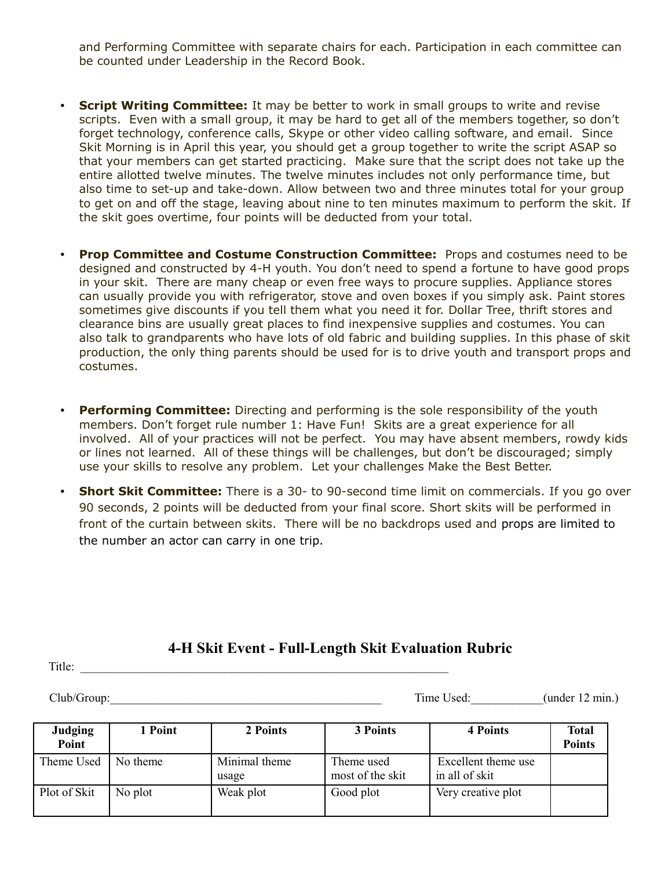and Performing Committee with separate chairs for each. Participation in each committee can be counted under Leadership in the Record Book.

- **Script Writing Committee:** It may be better to work in small groups to write and revise scripts. Even with a small group, it may be hard to get all of the members together, so don't forget technology, conference calls, Skype or other video calling software, and email. Since Skit Morning is in April this year, you should get a group together to write the script ASAP so that your members can get started practicing. Make sure that the script does not take up the entire allotted twelve minutes. The twelve minutes includes not only performance time, but also time to set-up and take-down. Allow between two and three minutes total for your group to get on and off the stage, leaving about nine to ten minutes maximum to perform the skit. If the skit goes overtime, four points will be deducted from your total.
- **Prop Committee and Costume Construction Committee:** Props and costumes need to be designed and constructed by 4-H youth. You don't need to spend a fortune to have good props in your skit. There are many cheap or even free ways to procure supplies. Appliance stores can usually provide you with refrigerator, stove and oven boxes if you simply ask. Paint stores sometimes give discounts if you tell them what you need it for. Dollar Tree, thrift stores and clearance bins are usually great places to find inexpensive supplies and costumes. You can also talk to grandparents who have lots of old fabric and building supplies. In this phase of skit production, the only thing parents should be used for is to drive youth and transport props and costumes.
- **Performing Committee:** Directing and performing is the sole responsibility of the youth members. Don't forget rule number 1: Have Fun! Skits are a great experience for all involved. All of your practices will not be perfect. You may have absent members, rowdy kids or lines not learned. All of these things will be challenges, but don't be discouraged; simply use your skills to resolve any problem. Let your challenges Make the Best Better.
- **Short Skit Committee:** There is a 30- to 90-second time limit on commercials. If you go over 90 seconds, 2 points will be deducted from your final score. Short skits will be performed in front of the curtain between skits. There will be no backdrops used and props are limited to the number an actor can carry in one trip.

### **4-H Skit Event - Full-Length Skit Evaluation Rubric**

Title:

Club/Group: Club/Group: (under 12 min.)

| Judging<br>Point | 1 Point  | 2 Points               | 3 Points                       | 4 Points                              | <b>Total</b><br><b>Points</b> |
|------------------|----------|------------------------|--------------------------------|---------------------------------------|-------------------------------|
| Theme Used       | No theme | Minimal theme<br>usage | Theme used<br>most of the skit | Excellent theme use<br>in all of skit |                               |
| Plot of Skit     | No plot  | Weak plot              | Good plot                      | Very creative plot                    |                               |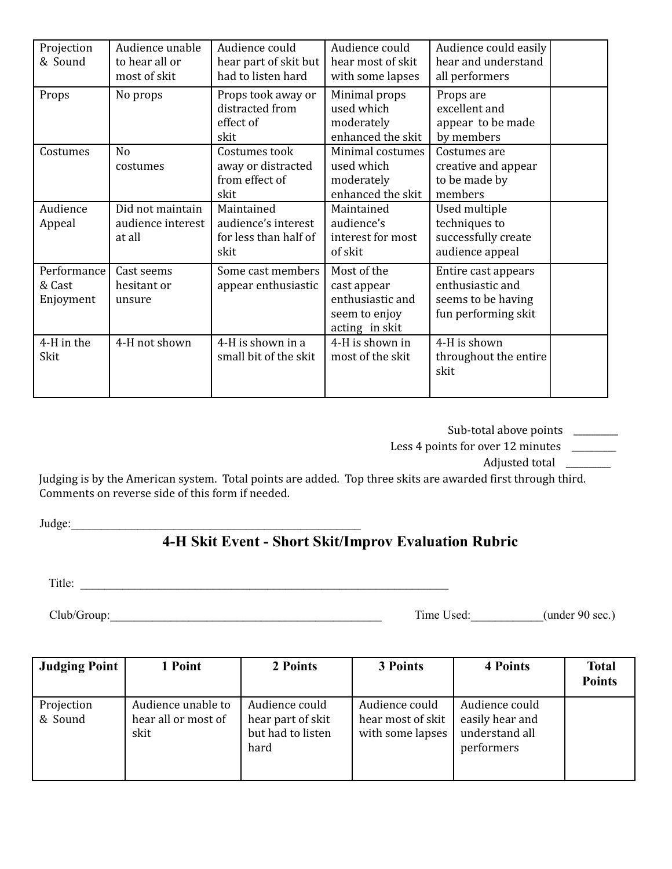| Projection<br>& Sound              | Audience unable<br>to hear all or<br>most of skit | Audience could<br>hear part of skit but<br>had to listen hard      | Audience could<br>hear most of skit<br>with some lapses                           | Audience could easily<br>hear and understand<br>all performers                       |  |
|------------------------------------|---------------------------------------------------|--------------------------------------------------------------------|-----------------------------------------------------------------------------------|--------------------------------------------------------------------------------------|--|
| Props                              | No props                                          | Props took away or<br>distracted from<br>effect of<br>skit         | Minimal props<br>used which<br>moderately<br>enhanced the skit                    | Props are<br>excellent and<br>appear to be made<br>by members                        |  |
| Costumes                           | N <sub>o</sub><br>costumes                        | Costumes took<br>away or distracted<br>from effect of<br>skit      | Minimal costumes<br>used which<br>moderately<br>enhanced the skit                 | Costumes are<br>creative and appear<br>to be made by<br>members                      |  |
| Audience<br>Appeal                 | Did not maintain<br>audience interest<br>at all   | Maintained<br>audience's interest<br>for less than half of<br>skit | Maintained<br>audience's<br>interest for most<br>of skit                          | Used multiple<br>techniques to<br>successfully create<br>audience appeal             |  |
| Performance<br>& Cast<br>Enjoyment | Cast seems<br>hesitant or<br>unsure               | Some cast members<br>appear enthusiastic                           | Most of the<br>cast appear<br>enthusiastic and<br>seem to enjoy<br>acting in skit | Entire cast appears<br>enthusiastic and<br>seems to be having<br>fun performing skit |  |
| 4-H in the<br>Skit                 | 4-H not shown                                     | 4-H is shown in a<br>small bit of the skit                         | 4-H is shown in<br>most of the skit                                               | 4-H is shown<br>throughout the entire<br>skit                                        |  |

| Sub-total above points |  |
|------------------------|--|
|------------------------|--|

Less 4 points for over 12 minutes

Adjusted total \_\_\_\_\_\_\_\_

Judging is by the American system. Total points are added. Top three skits are awarded first through third. Comments on reverse side of this form if needed.

Judge:\_\_\_\_\_\_\_\_\_\_\_\_\_\_\_\_\_\_\_\_\_\_\_\_\_\_\_\_\_\_\_\_\_\_\_\_\_\_\_\_\_\_\_\_\_\_\_\_

# **4-H Skit Event - Short Skit/Improv Evaluation Rubric**

Title: \_\_\_\_\_\_\_\_\_\_\_\_\_\_\_\_\_\_\_\_\_\_\_\_\_\_\_\_\_\_\_\_\_\_\_\_\_\_\_\_\_\_\_\_\_\_\_\_\_\_\_\_\_\_\_\_\_\_\_\_\_

Club/Group: Time Used: (under 90 sec.)

| . |  |  |  |  | . |  |  |  |
|---|--|--|--|--|---|--|--|--|
|   |  |  |  |  |   |  |  |  |
|   |  |  |  |  |   |  |  |  |
|   |  |  |  |  |   |  |  |  |
|   |  |  |  |  |   |  |  |  |
|   |  |  |  |  |   |  |  |  |

| <b>Judging Point</b>  | 1 Point                                           | 2 Points                                                         | 3 Points                                                | <b>4 Points</b>                                                   | <b>Total</b><br><b>Points</b> |
|-----------------------|---------------------------------------------------|------------------------------------------------------------------|---------------------------------------------------------|-------------------------------------------------------------------|-------------------------------|
| Projection<br>& Sound | Audience unable to<br>hear all or most of<br>skit | Audience could<br>hear part of skit<br>but had to listen<br>hard | Audience could<br>hear most of skit<br>with some lapses | Audience could<br>easily hear and<br>understand all<br>performers |                               |